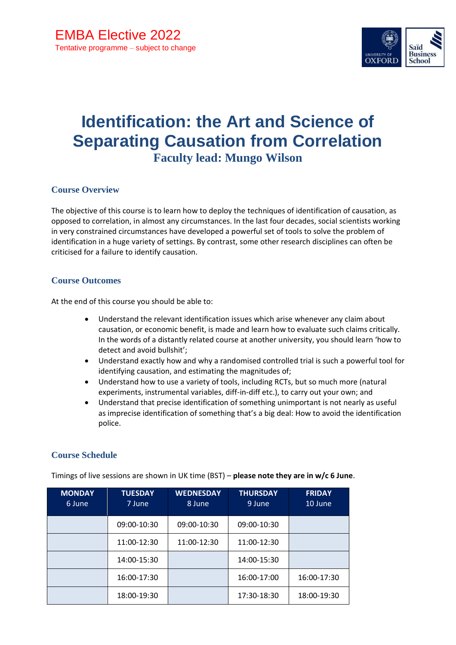

# **Identification: the Art and Science of Separating Causation from Correlation Faculty lead: Mungo Wilson**

## **Course Overview**

The objective of this course is to learn how to deploy the techniques of identification of causation, as opposed to correlation, in almost any circumstances. In the last four decades, social scientists working in very constrained circumstances have developed a powerful set of tools to solve the problem of identification in a huge variety of settings. By contrast, some other research disciplines can often be criticised for a failure to identify causation.

#### **Course Outcomes**

At the end of this course you should be able to:

- Understand the relevant identification issues which arise whenever any claim about causation, or economic benefit, is made and learn how to evaluate such claims critically. In the words of a distantly related course at another university, you should learn 'how to detect and avoid bullshit';
- Understand exactly how and why a randomised controlled trial is such a powerful tool for identifying causation, and estimating the magnitudes of;
- Understand how to use a variety of tools, including RCTs, but so much more (natural experiments, instrumental variables, diff-in-diff etc.), to carry out your own; and
- Understand that precise identification of something unimportant is not nearly as useful as imprecise identification of something that's a big deal: How to avoid the identification police.

#### **Course Schedule**

| <b>MONDAY</b><br>6 June | <b>TUESDAY</b><br>7 June | <b>WEDNESDAY</b><br>8 June | <b>THURSDAY</b><br>9 June | <b>FRIDAY</b><br>10 June |
|-------------------------|--------------------------|----------------------------|---------------------------|--------------------------|
|                         | 09:00-10:30              | 09:00-10:30                | 09:00-10:30               |                          |
|                         | 11:00-12:30              | 11:00-12:30                | 11:00-12:30               |                          |
|                         | 14:00-15:30              |                            | 14:00-15:30               |                          |
|                         | 16:00-17:30              |                            | 16:00-17:00               | 16:00-17:30              |
|                         | 18:00-19:30              |                            | 17:30-18:30               | 18:00-19:30              |

Timings of live sessions are shown in UK time (BST) – **please note they are in w/c 6 June**.